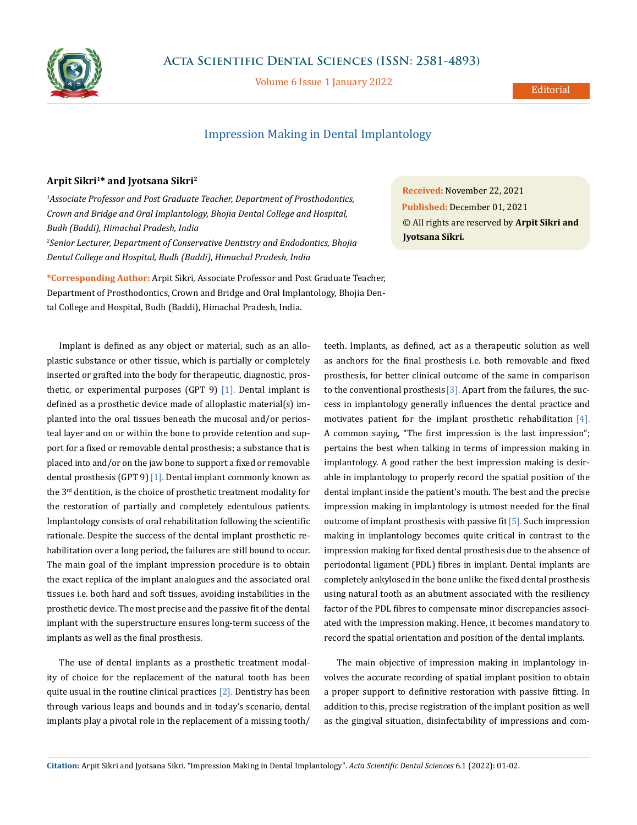

Volume 6 Issue 1 January 2022

## Impression Making in Dental Implantology

## **Arpit Sikri1\* and Jyotsana Sikri2**

*1 Associate Professor and Post Graduate Teacher, Department of Prosthodontics, Crown and Bridge and Oral Implantology, Bhojia Dental College and Hospital, Budh (Baddi), Himachal Pradesh, India 2 Senior Lecturer, Department of Conservative Dentistry and Endodontics, Bhojia Dental College and Hospital, Budh (Baddi), Himachal Pradesh, India*

**\*Corresponding Author:** Arpit Sikri, Associate Professor and Post Graduate Teacher, Department of Prosthodontics, Crown and Bridge and Oral Implantology, Bhojia Dental College and Hospital, Budh (Baddi), Himachal Pradesh, India.

Implant is defined as any object or material, such as an alloplastic substance or other tissue, which is partially or completely inserted or grafted into the body for therapeutic, diagnostic, prosthetic, or experimental purposes (GPT 9)  $[1]$ . Dental implant is defined as a prosthetic device made of alloplastic material(s) implanted into the oral tissues beneath the mucosal and/or periosteal layer and on or within the bone to provide retention and support for a fixed or removable dental prosthesis; a substance that is placed into and/or on the jaw bone to support a fixed or removable dental prosthesis (GPT 9)[1]. Dental implant commonly known as the 3rd dentition, is the choice of prosthetic treatment modality for the restoration of partially and completely edentulous patients. Implantology consists of oral rehabilitation following the scientific rationale. Despite the success of the dental implant prosthetic rehabilitation over a long period, the failures are still bound to occur. The main goal of the implant impression procedure is to obtain the exact replica of the implant analogues and the associated oral tissues i.e. both hard and soft tissues, avoiding instabilities in the prosthetic device. The most precise and the passive fit of the dental implant with the superstructure ensures long-term success of the implants as well as the final prosthesis.

The use of dental implants as a prosthetic treatment modality of choice for the replacement of the natural tooth has been quite usual in the routine clinical practices [2]. Dentistry has been through various leaps and bounds and in today's scenario, dental implants play a pivotal role in the replacement of a missing tooth/

**Received:** November 22, 2021 **Published:** December 01, 2021 © All rights are reserved by **Arpit Sikri and Jyotsana Sikri***.*

teeth. Implants, as defined, act as a therapeutic solution as well as anchors for the final prosthesis i.e. both removable and fixed prosthesis, for better clinical outcome of the same in comparison to the conventional prosthesis  $[3]$ . Apart from the failures, the success in implantology generally influences the dental practice and motivates patient for the implant prosthetic rehabilitation [4]. A common saying, "The first impression is the last impression"; pertains the best when talking in terms of impression making in implantology. A good rather the best impression making is desirable in implantology to properly record the spatial position of the dental implant inside the patient's mouth. The best and the precise impression making in implantology is utmost needed for the final outcome of implant prosthesis with passive fit[5]. Such impression making in implantology becomes quite critical in contrast to the impression making for fixed dental prosthesis due to the absence of periodontal ligament (PDL) fibres in implant. Dental implants are completely ankylosed in the bone unlike the fixed dental prosthesis using natural tooth as an abutment associated with the resiliency factor of the PDL fibres to compensate minor discrepancies associated with the impression making. Hence, it becomes mandatory to record the spatial orientation and position of the dental implants.

The main objective of impression making in implantology involves the accurate recording of spatial implant position to obtain a proper support to definitive restoration with passive fitting. In addition to this, precise registration of the implant position as well as the gingival situation, disinfectability of impressions and com